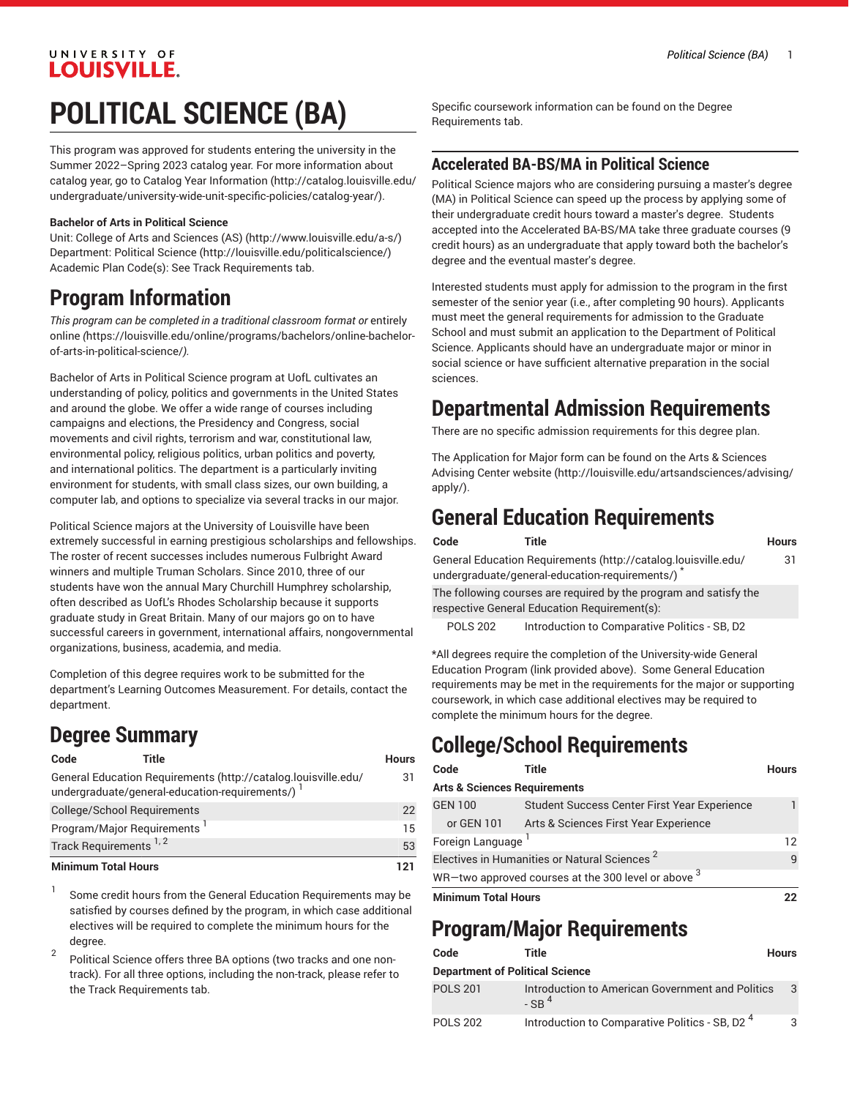### UNIVERSITY OF **LOUISVILLE**

# **POLITICAL SCIENCE (BA)**

This program was approved for students entering the university in the Summer 2022–Spring 2023 catalog year. For more information about catalog year, go to Catalog Year [Information](http://catalog.louisville.edu/undergraduate/university-wide-unit-specific-policies/catalog-year/) ([http://catalog.louisville.edu/](http://catalog.louisville.edu/undergraduate/university-wide-unit-specific-policies/catalog-year/) [undergraduate/university-wide-unit-specific-policies/catalog-year/](http://catalog.louisville.edu/undergraduate/university-wide-unit-specific-policies/catalog-year/)).

#### **Bachelor of Arts in Political Science**

Unit: College of Arts and [Sciences](http://www.louisville.edu/a-s/) (AS) (<http://www.louisville.edu/a-s/>) Department: [Political](http://louisville.edu/politicalscience/) Science ([http://louisville.edu/politicalscience/\)](http://louisville.edu/politicalscience/) Academic Plan Code(s): See Track Requirements tab.

# **Program Information**

*This program can be completed in a traditional classroom format or* [entirely](https://louisville.edu/online/programs/bachelors/online-bachelor-of-arts-in-political-science/) [online](https://louisville.edu/online/programs/bachelors/online-bachelor-of-arts-in-political-science/) *(*[https://louisville.edu/online/programs/bachelors/online-bachelor](https://louisville.edu/online/programs/bachelors/online-bachelor-of-arts-in-political-science/)[of-arts-in-political-science/](https://louisville.edu/online/programs/bachelors/online-bachelor-of-arts-in-political-science/)*).*

Bachelor of Arts in Political Science program at UofL cultivates an understanding of policy, politics and governments in the United States and around the globe. We offer a wide range of courses including campaigns and elections, the Presidency and Congress, social movements and civil rights, terrorism and war, constitutional law, environmental policy, religious politics, urban politics and poverty, and international politics. The department is a particularly inviting environment for students, with small class sizes, our own building, a computer lab, and options to specialize via several tracks in our major.

Political Science majors at the University of Louisville have been extremely successful in earning prestigious scholarships and fellowships. The roster of recent successes includes numerous Fulbright Award winners and multiple Truman Scholars. Since 2010, three of our students have won the annual Mary Churchill Humphrey scholarship, often described as UofL's Rhodes Scholarship because it supports graduate study in Great Britain. Many of our majors go on to have successful careers in government, international affairs, nongovernmental organizations, business, academia, and media.

Completion of this degree requires work to be submitted for the department's Learning Outcomes Measurement. For details, contact the department.

# **Degree Summary**

| Code                              | Title                                                                                                              | <b>Hours</b> |
|-----------------------------------|--------------------------------------------------------------------------------------------------------------------|--------------|
|                                   | General Education Requirements (http://catalog.louisville.edu/<br>undergraduate/general-education-requirements/) 1 | 31           |
|                                   | College/School Requirements                                                                                        | 22           |
|                                   | Program/Major Requirements <sup>1</sup>                                                                            | 15           |
| Track Requirements <sup>1,2</sup> |                                                                                                                    | 53           |
| <b>Minimum Total Hours</b>        |                                                                                                                    | 121          |

1 Some credit hours from the General Education Requirements may be satisfied by courses defined by the program, in which case additional electives will be required to complete the minimum hours for the degree.

2 Political Science offers three BA options (two tracks and one nontrack). For all three options, including the non-track, please refer to the Track Requirements tab.

Specific coursework information can be found on the Degree Requirements tab.

#### **Accelerated BA-BS/MA in Political Science**

Political Science majors who are considering pursuing a master's degree (MA) in Political Science can speed up the process by applying some of their undergraduate credit hours toward a master's degree. Students accepted into the Accelerated BA-BS/MA take three graduate courses (9 credit hours) as an undergraduate that apply toward both the bachelor's degree and the eventual master's degree.

Interested students must apply for admission to the program in the first semester of the senior year (i.e., after completing 90 hours). Applicants must meet the general requirements for admission to the Graduate School and must submit an application to the Department of Political Science. Applicants should have an undergraduate major or minor in social science or have sufficient alternative preparation in the social sciences.

## **Departmental Admission Requirements**

There are no specific admission requirements for this degree plan.

The Application for Major form can be found on the Arts & [Sciences](http://louisville.edu/artsandsciences/advising/apply/) [Advising Center website](http://louisville.edu/artsandsciences/advising/apply/) ([http://louisville.edu/artsandsciences/advising/](http://louisville.edu/artsandsciences/advising/apply/) [apply/](http://louisville.edu/artsandsciences/advising/apply/)).

## **General Education Requirements**

|                                                                                                                   | Code            | Title                                                                                                            | <b>Hours</b> |
|-------------------------------------------------------------------------------------------------------------------|-----------------|------------------------------------------------------------------------------------------------------------------|--------------|
|                                                                                                                   |                 | General Education Requirements (http://catalog.louisville.edu/<br>undergraduate/general-education-requirements/) | 31           |
| The following courses are required by the program and satisfy the<br>respective General Education Requirement(s): |                 |                                                                                                                  |              |
|                                                                                                                   | <b>POLS 202</b> | Introduction to Comparative Politics - SB, D2                                                                    |              |

\*All degrees require the completion of the University-wide General Education Program (link provided above). Some General Education requirements may be met in the requirements for the major or supporting coursework, in which case additional electives may be required to complete the minimum hours for the degree.

# **College/School Requirements**

| Code                                                     | Title                                        | <b>Hours</b> |  |  |
|----------------------------------------------------------|----------------------------------------------|--------------|--|--|
| <b>Arts &amp; Sciences Requirements</b>                  |                                              |              |  |  |
| <b>GEN 100</b>                                           | Student Success Center First Year Experience | 1            |  |  |
| or GEN 101                                               | Arts & Sciences First Year Experience        |              |  |  |
| Foreign Language                                         |                                              |              |  |  |
| Electives in Humanities or Natural Sciences <sup>2</sup> |                                              |              |  |  |
| WR-two approved courses at the 300 level or above $3$    |                                              |              |  |  |
| <b>Minimum Total Hours</b>                               |                                              |              |  |  |

# **Program/Major Requirements**

| Code                                   | Title                                                          | <b>Hours</b> |  |
|----------------------------------------|----------------------------------------------------------------|--------------|--|
| <b>Department of Political Science</b> |                                                                |              |  |
| <b>POLS 201</b>                        | Introduction to American Government and Politics<br>$-$ SR $4$ | 3            |  |
| <b>POLS 202</b>                        | Introduction to Comparative Politics - SB, D2 <sup>4</sup>     | 3            |  |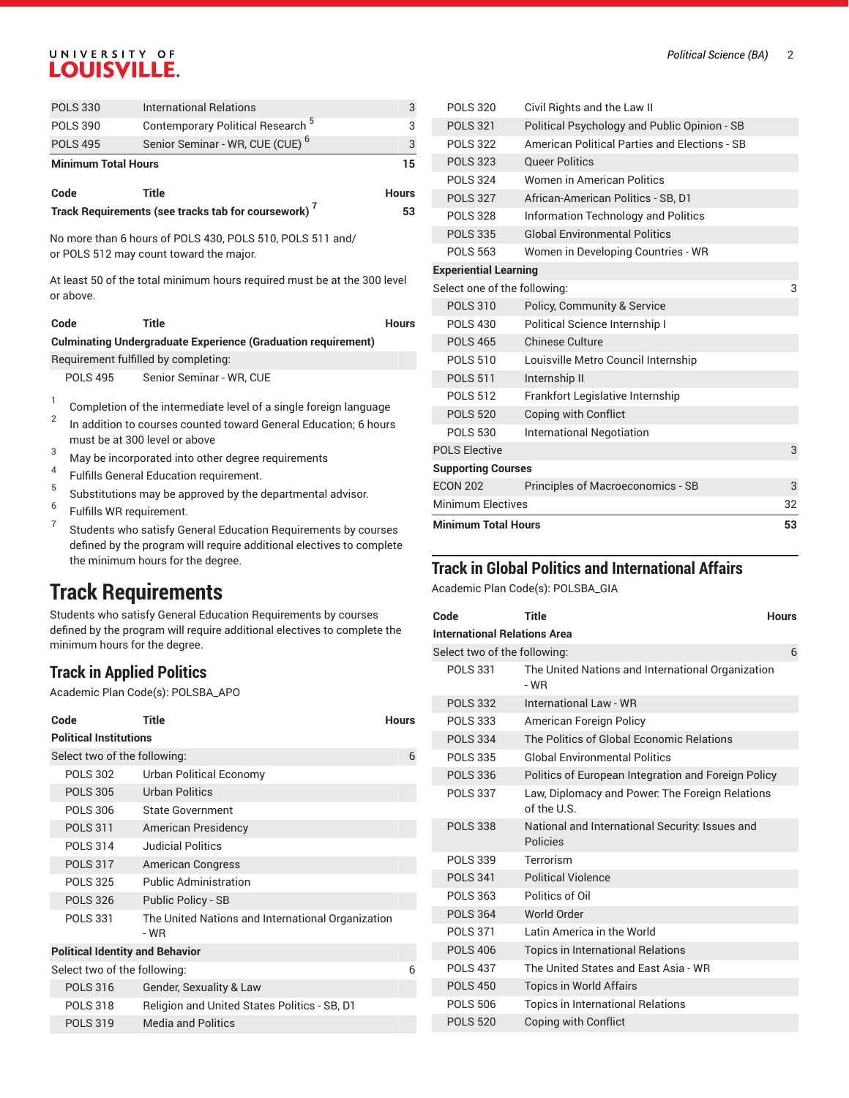## UNIVERSITY OF **LOUISVILLE.**

| <b>POLS 330</b>            | <b>International Relations</b>                                  | 3            |  |
|----------------------------|-----------------------------------------------------------------|--------------|--|
| <b>POLS 390</b>            | Contemporary Political Research <sup>5</sup>                    | 3            |  |
| <b>POLS 495</b>            | Senior Seminar - WR, CUE (CUE) <sup>6</sup>                     | 3            |  |
| <b>Minimum Total Hours</b> |                                                                 |              |  |
|                            |                                                                 |              |  |
| Code                       | Title                                                           | <b>Hours</b> |  |
|                            | Track Requirements (see tracks tab for coursework) <sup>7</sup> | 53           |  |

or POLS 512 may count toward the major.

At least 50 of the total minimum hours required must be at the 300 level or above.

|                                                                      | Code                                 | Title                                                             | <b>Hours</b> |  |
|----------------------------------------------------------------------|--------------------------------------|-------------------------------------------------------------------|--------------|--|
| <b>Culminating Undergraduate Experience (Graduation requirement)</b> |                                      |                                                                   |              |  |
|                                                                      | Requirement fulfilled by completing: |                                                                   |              |  |
|                                                                      | <b>POLS 495</b>                      | Senior Seminar - WR, CUE                                          |              |  |
|                                                                      |                                      | Completion of the intermediate level of a single foreign language |              |  |

- 2 In addition to courses counted toward General Education; 6 hours must be at 300 level or above
- <sup>3</sup> May be incorporated into other degree requirements
- 4 Fulfills General Education requirement.
- 5 Substitutions may be approved by the departmental advisor.
- 6 Fulfills WR requirement.
- 7 Students who satisfy General Education Requirements by courses defined by the program will require additional electives to complete the minimum hours for the degree.

## **Track Requirements**

Students who satisfy General Education Requirements by courses defined by the program will require additional electives to complete the minimum hours for the degree.

## **Track in Applied Politics**

Academic Plan Code(s): POLSBA\_APO

| Code                                   | Title                                                     | <b>Hours</b> |  |  |
|----------------------------------------|-----------------------------------------------------------|--------------|--|--|
| <b>Political Institutions</b>          |                                                           |              |  |  |
| Select two of the following:           |                                                           | 6            |  |  |
| <b>POLS 302</b>                        | Urban Political Economy                                   |              |  |  |
| <b>POLS 305</b>                        | <b>Urban Politics</b>                                     |              |  |  |
| <b>POLS 306</b>                        | State Government                                          |              |  |  |
| <b>POLS 311</b>                        | <b>American Presidency</b>                                |              |  |  |
| <b>POLS 314</b>                        | <b>Judicial Politics</b>                                  |              |  |  |
| <b>POLS 317</b>                        | <b>American Congress</b>                                  |              |  |  |
| <b>POLS 325</b>                        | <b>Public Administration</b>                              |              |  |  |
| <b>POLS 326</b>                        | Public Policy - SB                                        |              |  |  |
| <b>POLS 331</b>                        | The United Nations and International Organization<br>- WR |              |  |  |
| <b>Political Identity and Behavior</b> |                                                           |              |  |  |
| Select two of the following:           |                                                           | հ            |  |  |
| <b>POLS 316</b>                        | Gender, Sexuality & Law                                   |              |  |  |
| <b>POLS 318</b>                        | Religion and United States Politics - SB, D1              |              |  |  |
| <b>POLS 319</b>                        | <b>Media and Politics</b>                                 |              |  |  |

| <b>Minimum Total Hours</b>   |                                               | 53 |
|------------------------------|-----------------------------------------------|----|
| <b>Minimum Electives</b>     |                                               | 32 |
| <b>ECON 202</b>              | Principles of Macroeconomics - SB             | 3  |
| <b>Supporting Courses</b>    |                                               |    |
| <b>POLS Elective</b>         |                                               | 3  |
| <b>POLS 530</b>              | <b>International Negotiation</b>              |    |
| <b>POLS 520</b>              | Coping with Conflict                          |    |
| <b>POLS 512</b>              | Frankfort Legislative Internship              |    |
| <b>POLS 511</b>              | Internship II                                 |    |
| <b>POLS 510</b>              | Louisville Metro Council Internship           |    |
| <b>POLS 465</b>              | <b>Chinese Culture</b>                        |    |
| <b>POLS 430</b>              | Political Science Internship I                |    |
| <b>POLS 310</b>              | Policy, Community & Service                   |    |
| Select one of the following: |                                               | 3  |
| <b>Experiential Learning</b> |                                               |    |
| <b>POLS 563</b>              | Women in Developing Countries - WR            |    |
| <b>POLS 335</b>              | <b>Global Environmental Politics</b>          |    |
| <b>POLS 328</b>              | Information Technology and Politics           |    |
| <b>POLS 327</b>              | African-American Politics - SB, D1            |    |
| <b>POLS 324</b>              | Women in American Politics                    |    |
| <b>POLS 323</b>              | <b>Oueer Politics</b>                         |    |
| <b>POLS 322</b>              | American Political Parties and Elections - SB |    |
| <b>POLS 321</b>              | Political Psychology and Public Opinion - SB  |    |
| <b>POLS 320</b>              | Civil Rights and the Law II                   |    |

### **Track in Global Politics and International Affairs**

Academic Plan Code(s): POLSBA\_GIA

| Code                                | <b>Title</b>                                                   | <b>Hours</b> |  |  |
|-------------------------------------|----------------------------------------------------------------|--------------|--|--|
| <b>International Relations Area</b> |                                                                |              |  |  |
| Select two of the following:        |                                                                | 6            |  |  |
| <b>POLS 331</b>                     | The United Nations and International Organization<br>- WR      |              |  |  |
| <b>POLS 332</b>                     | International Law - WR                                         |              |  |  |
| <b>POLS 333</b>                     | American Foreign Policy                                        |              |  |  |
| <b>POLS 334</b>                     | The Politics of Global Economic Relations                      |              |  |  |
| <b>POLS 335</b>                     | Global Environmental Politics                                  |              |  |  |
| <b>POLS 336</b>                     | Politics of European Integration and Foreign Policy            |              |  |  |
| <b>POLS 337</b>                     | Law, Diplomacy and Power: The Foreign Relations<br>of the U.S. |              |  |  |
| <b>POLS 338</b>                     | National and International Security: Issues and<br>Policies    |              |  |  |
| <b>POLS 339</b>                     | Terrorism                                                      |              |  |  |
| <b>POLS 341</b>                     | <b>Political Violence</b>                                      |              |  |  |
| <b>POLS 363</b>                     | Politics of Oil                                                |              |  |  |
| <b>POLS 364</b>                     | World Order                                                    |              |  |  |
| <b>POLS 371</b>                     | Latin America in the World                                     |              |  |  |
| <b>POLS 406</b>                     | <b>Topics in International Relations</b>                       |              |  |  |
| <b>POLS 437</b>                     | The United States and Fast Asia - WR                           |              |  |  |
| <b>POLS 450</b>                     | <b>Topics in World Affairs</b>                                 |              |  |  |
| <b>POLS 506</b>                     | <b>Topics in International Relations</b>                       |              |  |  |
| <b>POLS 520</b>                     | Coping with Conflict                                           |              |  |  |
|                                     |                                                                |              |  |  |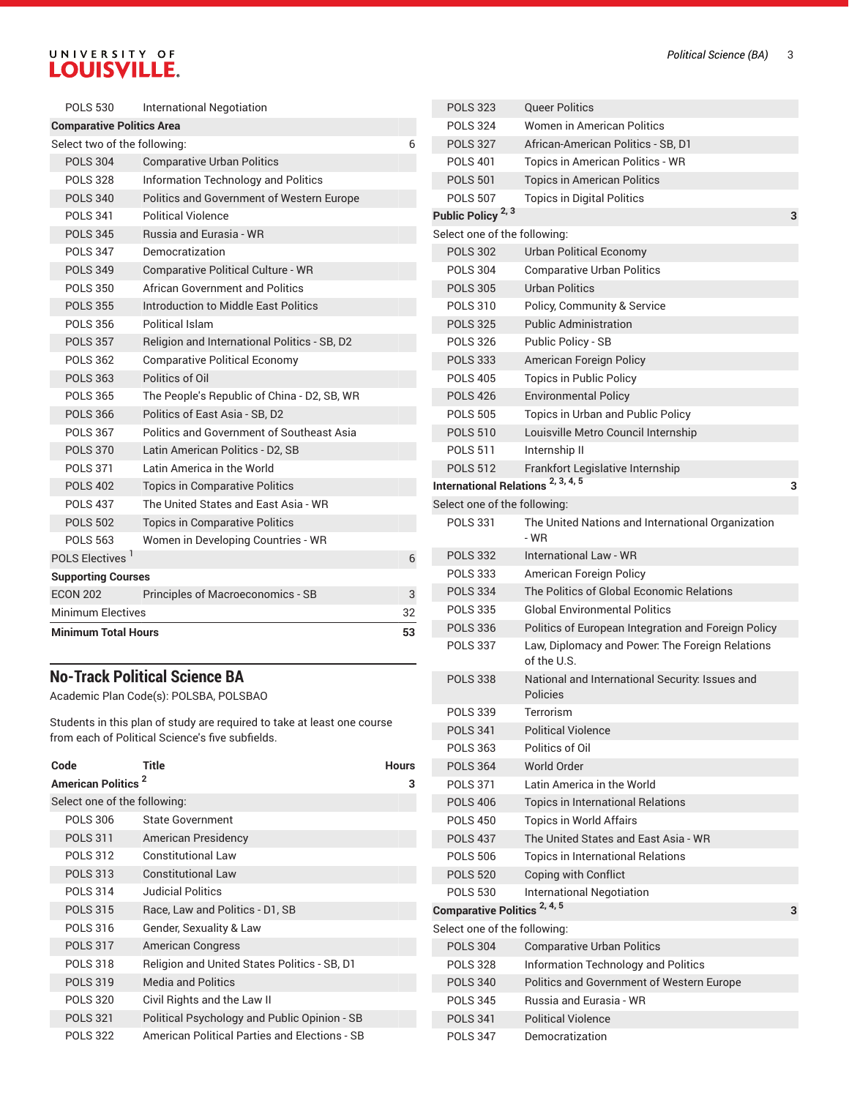# UNIVERSITY OF LOUISVILLE.

| <b>Minimum Total Hours</b>       |                                                  |    |
|----------------------------------|--------------------------------------------------|----|
| <b>Minimum Electives</b>         |                                                  | 32 |
| <b>ECON 202</b>                  | <b>Principles of Macroeconomics - SB</b>         | 3  |
| <b>Supporting Courses</b>        |                                                  |    |
| POLS Electives <sup>1</sup>      |                                                  | 6  |
| <b>POLS 563</b>                  | Women in Developing Countries - WR               |    |
| <b>POLS 502</b>                  | <b>Topics in Comparative Politics</b>            |    |
| <b>POLS 437</b>                  | The United States and East Asia - WR             |    |
| <b>POLS 402</b>                  | <b>Topics in Comparative Politics</b>            |    |
| <b>POLS 371</b>                  | Latin America in the World                       |    |
| <b>POLS 370</b>                  | Latin American Politics - D2, SB                 |    |
| <b>POLS 367</b>                  | Politics and Government of Southeast Asia        |    |
| <b>POLS 366</b>                  | Politics of East Asia - SB, D2                   |    |
| <b>POLS 365</b>                  | The People's Republic of China - D2, SB, WR      |    |
| <b>POLS 363</b>                  | Politics of Oil                                  |    |
| <b>POLS 362</b>                  | <b>Comparative Political Economy</b>             |    |
| <b>POLS 357</b>                  | Religion and International Politics - SB, D2     |    |
| <b>POLS 356</b>                  | Political Islam                                  |    |
| <b>POLS 355</b>                  | Introduction to Middle East Politics             |    |
| <b>POLS 350</b>                  | <b>African Government and Politics</b>           |    |
| <b>POLS 349</b>                  | <b>Comparative Political Culture - WR</b>        |    |
| <b>POLS 347</b>                  | Democratization                                  |    |
| <b>POLS 345</b>                  | Russia and Eurasia - WR                          |    |
| <b>POLS 341</b>                  | <b>Political Violence</b>                        |    |
| <b>POLS 340</b>                  | <b>Politics and Government of Western Europe</b> |    |
| <b>POLS 328</b>                  | Information Technology and Politics              |    |
| <b>POLS 304</b>                  | <b>Comparative Urban Politics</b>                |    |
| Select two of the following:     |                                                  | 6  |
| <b>Comparative Politics Area</b> |                                                  |    |
| <b>POLS 530</b>                  | <b>International Negotiation</b>                 |    |

## **No-Track Political Science BA**

Academic Plan Code(s): POLSBA, POLSBAO

Students in this plan of study are required to take at least one course from each of Political Science's five subfields.

| Code<br><b>American Politics<sup>2</sup></b> | Title                                                | <b>Hours</b><br>з |
|----------------------------------------------|------------------------------------------------------|-------------------|
| Select one of the following:                 |                                                      |                   |
| <b>POLS 306</b>                              | <b>State Government</b>                              |                   |
| <b>POLS 311</b>                              | American Presidency                                  |                   |
| <b>POLS 312</b>                              | Constitutional Law                                   |                   |
| <b>POLS 313</b>                              | <b>Constitutional Law</b>                            |                   |
| <b>POLS 314</b>                              | <b>Judicial Politics</b>                             |                   |
| <b>POLS 315</b>                              | Race, Law and Politics - D1, SB                      |                   |
| POLS 316                                     | Gender, Sexuality & Law                              |                   |
| <b>POLS 317</b>                              | <b>American Congress</b>                             |                   |
| <b>POLS 318</b>                              | Religion and United States Politics - SB, D1         |                   |
| <b>POLS 319</b>                              | <b>Media and Politics</b>                            |                   |
| <b>POLS 320</b>                              | Civil Rights and the Law II                          |                   |
| <b>POLS 321</b>                              | Political Psychology and Public Opinion - SB         |                   |
| <b>POLS 322</b>                              | <b>American Political Parties and Elections - SB</b> |                   |

| <b>POLS 323</b>                               | <b>Queer Politics</b>                                              |   |
|-----------------------------------------------|--------------------------------------------------------------------|---|
| <b>POLS 324</b>                               | <b>Women in American Politics</b>                                  |   |
| <b>POLS 327</b>                               | African-American Politics - SB, D1                                 |   |
| <b>POLS 401</b>                               | Topics in American Politics - WR                                   |   |
| <b>POLS 501</b>                               | <b>Topics in American Politics</b>                                 |   |
| <b>POLS 507</b>                               | <b>Topics in Digital Politics</b>                                  |   |
| Public Policy <sup>2, 3</sup>                 |                                                                    | 3 |
| Select one of the following:                  |                                                                    |   |
| <b>POLS 302</b>                               | <b>Urban Political Economy</b>                                     |   |
| <b>POLS 304</b>                               | <b>Comparative Urban Politics</b>                                  |   |
| <b>POLS 305</b>                               | <b>Urban Politics</b>                                              |   |
| <b>POLS 310</b>                               | Policy, Community & Service                                        |   |
| <b>POLS 325</b>                               | <b>Public Administration</b>                                       |   |
| <b>POLS 326</b>                               | Public Policy - SB                                                 |   |
| <b>POLS 333</b>                               | American Foreign Policy                                            |   |
| <b>POLS 405</b>                               | <b>Topics in Public Policy</b>                                     |   |
| <b>POLS 426</b>                               | <b>Environmental Policy</b>                                        |   |
| <b>POLS 505</b>                               | Topics in Urban and Public Policy                                  |   |
| <b>POLS 510</b>                               | Louisville Metro Council Internship                                |   |
| <b>POLS 511</b>                               | Internship II                                                      |   |
| <b>POLS 512</b>                               | Frankfort Legislative Internship                                   |   |
| International Relations <sup>2, 3, 4, 5</sup> |                                                                    | з |
| Select one of the following:                  |                                                                    |   |
| <b>POLS 331</b>                               | The United Nations and International Organization<br>- WR          |   |
| <b>POLS 332</b>                               | <b>International Law - WR</b>                                      |   |
| <b>POLS 333</b>                               | American Foreign Policy                                            |   |
| <b>POLS 334</b>                               | The Politics of Global Economic Relations                          |   |
| <b>POLS 335</b>                               | <b>Global Environmental Politics</b>                               |   |
| <b>POLS 336</b>                               | Politics of European Integration and Foreign Policy                |   |
| <b>POLS 337</b>                               | Law, Diplomacy and Power: The Foreign Relations<br>of the U.S.     |   |
| <b>POLS 338</b>                               | National and International Security: Issues and<br><b>Policies</b> |   |
| <b>POLS 339</b>                               | Terrorism                                                          |   |
| <b>POLS 341</b>                               | <b>Political Violence</b>                                          |   |
| <b>POLS 363</b>                               | Politics of Oil                                                    |   |
| <b>POLS 364</b>                               | World Order                                                        |   |
| <b>POLS 371</b>                               | Latin America in the World                                         |   |
| <b>POLS 406</b>                               | <b>Topics in International Relations</b>                           |   |
| <b>POLS 450</b>                               | <b>Topics in World Affairs</b>                                     |   |
| <b>POLS 437</b>                               | The United States and East Asia - WR                               |   |
| <b>POLS 506</b>                               | <b>Topics in International Relations</b>                           |   |
| <b>POLS 520</b>                               | Coping with Conflict                                               |   |
| <b>POLS 530</b>                               | International Negotiation                                          |   |
| Comparative Politics <sup>2, 4, 5</sup>       |                                                                    | з |
| Select one of the following:                  |                                                                    |   |
| <b>POLS 304</b>                               | <b>Comparative Urban Politics</b>                                  |   |
| <b>POLS 328</b>                               | Information Technology and Politics                                |   |
| <b>POLS 340</b>                               | Politics and Government of Western Europe                          |   |
| <b>POLS 345</b>                               | Russia and Eurasia - WR                                            |   |
| <b>POLS 341</b>                               | <b>Political Violence</b>                                          |   |
| <b>POLS 347</b>                               | Democratization                                                    |   |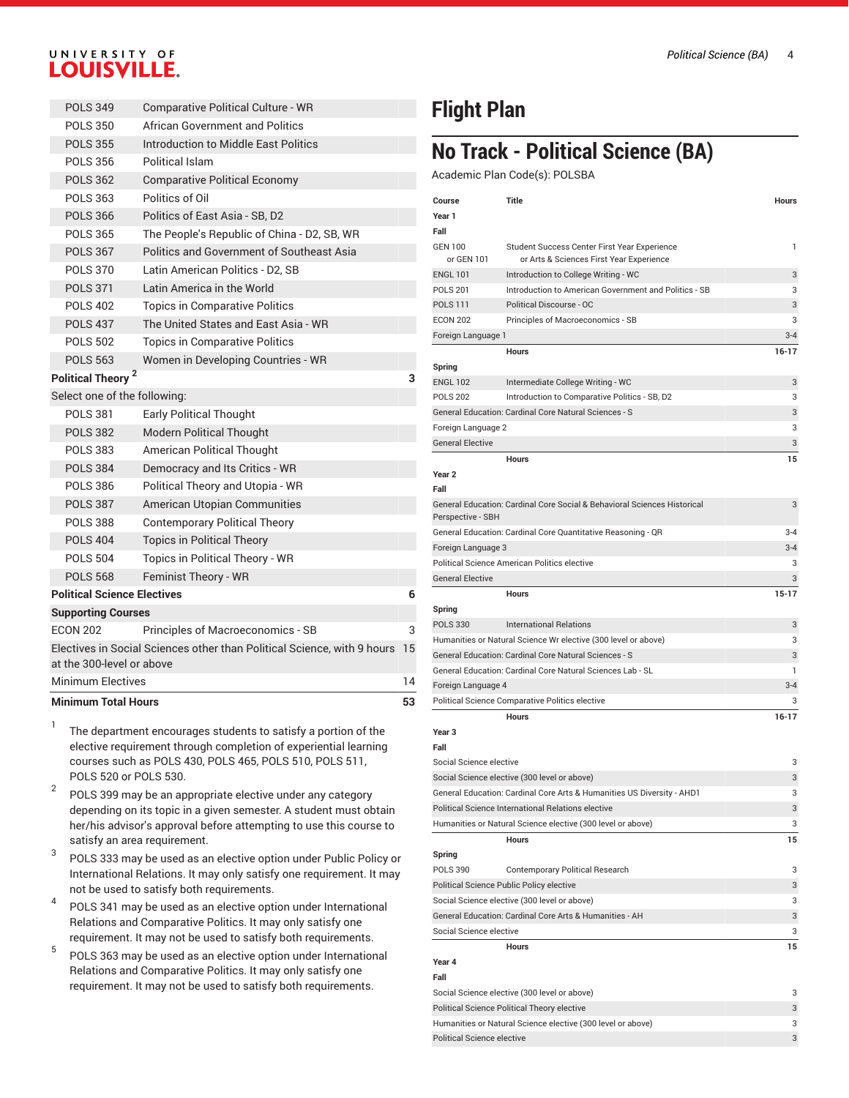#### *Political Science (BA)* 4

## UNIVERSITY OF **LOUISVILLE.**

| <b>Minimum Total Hours</b>         |                                                                               | 53 |
|------------------------------------|-------------------------------------------------------------------------------|----|
| <b>Minimum Electives</b>           |                                                                               | 14 |
| at the 300-level or above          |                                                                               |    |
|                                    | Electives in Social Sciences other than Political Science, with 9 hours       | 15 |
| <b>ECON 202</b>                    | Principles of Macroeconomics - SB                                             | 3  |
| <b>Supporting Courses</b>          |                                                                               |    |
| <b>Political Science Electives</b> |                                                                               | 6  |
| <b>POLS 568</b>                    | Feminist Theory - WR                                                          |    |
| <b>POLS 504</b>                    | Topics in Political Theory - WR                                               |    |
| <b>POLS 404</b>                    | <b>Topics in Political Theory</b>                                             |    |
| <b>POLS 388</b>                    | <b>Contemporary Political Theory</b>                                          |    |
| <b>POLS 387</b>                    | American Utopian Communities                                                  |    |
| <b>POLS 386</b>                    | Political Theory and Utopia - WR                                              |    |
| <b>POLS 384</b>                    | Democracy and Its Critics - WR                                                |    |
| <b>POLS 383</b>                    | <b>American Political Thought</b>                                             |    |
| <b>POLS 382</b>                    | <b>Modern Political Thought</b>                                               |    |
| <b>POLS 381</b>                    | <b>Early Political Thought</b>                                                |    |
| Select one of the following:       |                                                                               |    |
| Political Theory <sup>2</sup>      |                                                                               | 3  |
| <b>POLS 563</b>                    | Women in Developing Countries - WR                                            |    |
| <b>POLS 502</b>                    | <b>Topics in Comparative Politics</b>                                         |    |
| <b>POLS 402</b><br><b>POLS 437</b> | <b>Topics in Comparative Politics</b><br>The United States and East Asia - WR |    |
| <b>POLS 371</b>                    |                                                                               |    |
| <b>POLS 370</b>                    | Latin American Politics - D2. SB<br>Latin America in the World                |    |
| <b>POLS 367</b>                    | Politics and Government of Southeast Asia                                     |    |
| <b>POLS 365</b>                    | The People's Republic of China - D2, SB, WR                                   |    |
| <b>POLS 366</b>                    | Politics of East Asia - SB, D2                                                |    |
| <b>POLS 363</b>                    | Politics of Oil                                                               |    |
| <b>POLS 362</b>                    | <b>Comparative Political Economy</b>                                          |    |
| <b>POLS 356</b>                    | Political Islam                                                               |    |
| <b>POLS 355</b>                    | Introduction to Middle East Politics                                          |    |
| <b>POLS 350</b>                    | African Government and Politics                                               |    |
| <b>POLS 349</b>                    | Comparative Political Culture - WR                                            |    |
|                                    |                                                                               |    |

- 1 The department encourages students to satisfy a portion of the elective requirement through completion of experiential learning courses such as POLS 430, POLS 465, POLS 510, POLS 511, POLS 520 or POLS 530.
- 2 POLS 399 may be an appropriate elective under any category depending on its topic in a given semester. A student must obtain her/his advisor's approval before attempting to use this course to satisfy an area requirement.
- 3 POLS 333 may be used as an elective option under Public Policy or International Relations. It may only satisfy one requirement. It may not be used to satisfy both requirements.
- 4 POLS 341 may be used as an elective option under International Relations and Comparative Politics. It may only satisfy one requirement. It may not be used to satisfy both requirements.
- 5 POLS 363 may be used as an elective option under International Relations and Comparative Politics. It may only satisfy one requirement. It may not be used to satisfy both requirements.

# **Flight Plan**

## **No Track - Political Science (BA)**

Academic Plan Code(s): POLSBA

| Course                          | Title                                                                                    | Hours   |
|---------------------------------|------------------------------------------------------------------------------------------|---------|
| Year 1                          |                                                                                          |         |
| Fall                            |                                                                                          |         |
| <b>GEN 100</b><br>or GEN 101    | Student Success Center First Year Experience<br>or Arts & Sciences First Year Experience | 1       |
| <b>ENGL 101</b>                 | Introduction to College Writing - WC                                                     | 3       |
| <b>POLS 201</b>                 | Introduction to American Government and Politics - SB                                    | 3       |
| <b>POLS 111</b>                 | Political Discourse - OC                                                                 | 3       |
| <b>ECON 202</b>                 | Principles of Macroeconomics - SB                                                        | 3       |
| Foreign Language 1              |                                                                                          | $3 - 4$ |
|                                 | <b>Hours</b>                                                                             | 16-17   |
| Spring                          |                                                                                          |         |
| <b>ENGL 102</b>                 | Intermediate College Writing - WC                                                        | 3       |
| <b>POLS 202</b>                 | Introduction to Comparative Politics - SB, D2                                            | 3       |
|                                 | General Education: Cardinal Core Natural Sciences - S                                    | 3       |
| Foreign Language 2              |                                                                                          | 3       |
| <b>General Elective</b>         |                                                                                          | 3       |
|                                 | <b>Hours</b>                                                                             | 15      |
| Year 2                          |                                                                                          |         |
| Fall                            |                                                                                          |         |
| Perspective - SBH               | General Education: Cardinal Core Social & Behavioral Sciences Historical                 | 3       |
|                                 | General Education: Cardinal Core Quantitative Reasoning - QR                             | $3 - 4$ |
| Foreign Language 3              |                                                                                          | 3-4     |
|                                 | Political Science American Politics elective                                             | 3       |
| <b>General Elective</b>         |                                                                                          | 3       |
|                                 | Hours                                                                                    | 15-17   |
| Spring                          |                                                                                          |         |
| <b>POLS 330</b>                 | <b>International Relations</b>                                                           | 3       |
|                                 | Humanities or Natural Science Wr elective (300 level or above)                           | 3       |
|                                 | General Education: Cardinal Core Natural Sciences - S                                    | 3       |
|                                 | General Education: Cardinal Core Natural Sciences Lab - SL                               | 1       |
| Foreign Language 4              |                                                                                          | $3 - 4$ |
|                                 | Political Science Comparative Politics elective                                          | 3       |
|                                 | <b>Hours</b>                                                                             | 16-17   |
| Year 3                          |                                                                                          |         |
| Fall                            |                                                                                          |         |
| Social Science elective         |                                                                                          | 3       |
|                                 | Social Science elective (300 level or above)                                             | 3       |
|                                 | General Education: Cardinal Core Arts & Humanities US Diversity - AHD1                   | 3       |
|                                 | Political Science International Relations elective                                       | 3       |
|                                 | Humanities or Natural Science elective (300 level or above)                              | 3       |
|                                 | <b>Hours</b>                                                                             | 15      |
| Spring                          |                                                                                          |         |
| <b>POLS 390</b>                 | <b>Contemporary Political Research</b>                                                   | 3       |
|                                 | Political Science Public Policy elective                                                 | 3       |
|                                 | Social Science elective (300 level or above)                                             | 3       |
|                                 | General Education: Cardinal Core Arts & Humanities - AH                                  | 3       |
| Social Science elective         |                                                                                          | 3       |
|                                 | <b>Hours</b>                                                                             | 15      |
| Year 4<br>Fall                  |                                                                                          |         |
|                                 | Social Science elective (300 level or above)                                             | 3       |
|                                 | Political Science Political Theory elective                                              | 3       |
|                                 | Humanities or Natural Science elective (300 level or above)                              | 3       |
| Political Science elective<br>3 |                                                                                          |         |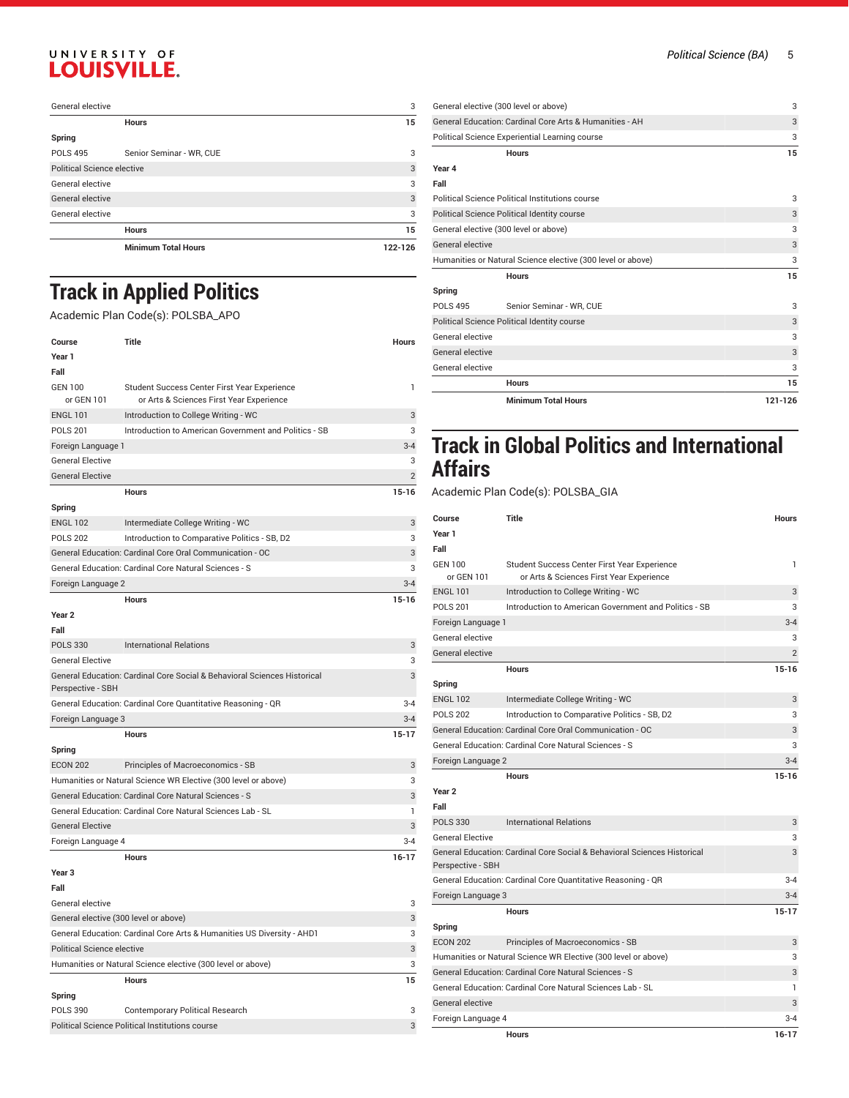# UNIVERSITY OF LOUISVILLE.

| General elective                  |                            | 3       |
|-----------------------------------|----------------------------|---------|
|                                   | <b>Hours</b>               | 15      |
| Spring                            |                            |         |
| <b>POLS 495</b>                   | Senior Seminar - WR, CUE   | 3       |
| <b>Political Science elective</b> |                            | 3       |
| General elective                  |                            | 3       |
| General elective                  |                            | 3       |
| General elective                  |                            | 3       |
|                                   | <b>Hours</b>               | 15      |
|                                   | <b>Minimum Total Hours</b> | 122-126 |

# **Track in Applied Politics**

#### Academic Plan Code(s): POLSBA\_APO

| Course                                                                  | Title                                                                                    | Hours          |
|-------------------------------------------------------------------------|------------------------------------------------------------------------------------------|----------------|
| Year 1                                                                  |                                                                                          |                |
| Fall                                                                    |                                                                                          |                |
| <b>GEN 100</b><br>or GEN 101                                            | Student Success Center First Year Experience<br>or Arts & Sciences First Year Experience | 1              |
| <b>ENGL 101</b>                                                         | Introduction to College Writing - WC                                                     | 3              |
| <b>POLS 201</b>                                                         | Introduction to American Government and Politics - SB                                    | 3              |
| Foreign Language 1                                                      |                                                                                          | $3-4$          |
| <b>General Elective</b>                                                 |                                                                                          | 3              |
| <b>General Elective</b>                                                 |                                                                                          | $\overline{2}$ |
|                                                                         | <b>Hours</b>                                                                             | $15-16$        |
| Spring                                                                  |                                                                                          |                |
| <b>ENGL 102</b>                                                         | Intermediate College Writing - WC                                                        | 3              |
| <b>POLS 202</b>                                                         | Introduction to Comparative Politics - SB, D2                                            | 3              |
|                                                                         | General Education: Cardinal Core Oral Communication - OC                                 | 3              |
|                                                                         | General Education: Cardinal Core Natural Sciences - S                                    | 3              |
| Foreign Language 2                                                      |                                                                                          | $3 - 4$        |
|                                                                         | <b>Hours</b>                                                                             | $15-16$        |
| Year <sub>2</sub>                                                       |                                                                                          |                |
| Fall                                                                    |                                                                                          |                |
| <b>POLS 330</b>                                                         | <b>International Relations</b>                                                           | 3              |
| <b>General Elective</b>                                                 |                                                                                          | 3              |
| Perspective - SBH                                                       | General Education: Cardinal Core Social & Behavioral Sciences Historical                 | 3              |
| General Education: Cardinal Core Quantitative Reasoning - QR<br>$3 - 4$ |                                                                                          |                |
| Foreign Language 3                                                      |                                                                                          | $3-4$          |
|                                                                         | <b>Hours</b>                                                                             | 15-17          |
| Spring                                                                  |                                                                                          |                |
| <b>ECON 202</b>                                                         | Principles of Macroeconomics - SB                                                        | 3              |
|                                                                         | Humanities or Natural Science WR Elective (300 level or above)                           | 3              |
|                                                                         | General Education: Cardinal Core Natural Sciences - S                                    | 3              |
|                                                                         | General Education: Cardinal Core Natural Sciences Lab - SL                               | 1              |
| <b>General Elective</b>                                                 |                                                                                          | 3              |
| Foreign Language 4                                                      |                                                                                          | $3 - 4$        |
|                                                                         | <b>Hours</b>                                                                             | $16-17$        |
| Year 3                                                                  |                                                                                          |                |
| Fall                                                                    |                                                                                          |                |
| General elective                                                        |                                                                                          | 3              |
| General elective (300 level or above)                                   |                                                                                          | 3              |
|                                                                         | General Education: Cardinal Core Arts & Humanities US Diversity - AHD1                   | 3              |
| <b>Political Science elective</b>                                       |                                                                                          | 3              |
|                                                                         | Humanities or Natural Science elective (300 level or above)                              | 3              |
|                                                                         | <b>Hours</b>                                                                             | 15             |
| Spring                                                                  |                                                                                          |                |
| <b>POLS 390</b>                                                         | <b>Contemporary Political Research</b>                                                   | 3              |
|                                                                         | Political Science Political Institutions course                                          | 3              |

| General elective (300 level or above)                   |                                                             | 3       |
|---------------------------------------------------------|-------------------------------------------------------------|---------|
| General Education: Cardinal Core Arts & Humanities - AH |                                                             | 3       |
|                                                         | Political Science Experiential Learning course              | 3       |
|                                                         | <b>Hours</b>                                                | 15      |
| Year 4                                                  |                                                             |         |
| Fall                                                    |                                                             |         |
|                                                         | Political Science Political Institutions course             | 3       |
| Political Science Political Identity course             |                                                             | 3       |
| General elective (300 level or above)                   |                                                             | 3       |
| General elective                                        |                                                             | 3       |
|                                                         | Humanities or Natural Science elective (300 level or above) | 3       |
|                                                         | <b>Hours</b>                                                | 15      |
| Spring                                                  |                                                             |         |
| <b>POLS 495</b>                                         | Senior Seminar - WR. CUE                                    | 3       |
| Political Science Political Identity course             |                                                             |         |
| General elective                                        |                                                             | 3       |
| General elective                                        |                                                             | 3       |
| General elective                                        |                                                             | 3       |
|                                                         | <b>Hours</b>                                                | 15      |
|                                                         | <b>Minimum Total Hours</b>                                  | 121-126 |

## **Track in Global Politics and International Affairs**

Academic Plan Code(s): POLSBA\_GIA

| Course                                                          | Title                                                                    | <b>Hours</b>   |
|-----------------------------------------------------------------|--------------------------------------------------------------------------|----------------|
| Year 1                                                          |                                                                          |                |
| Fall                                                            |                                                                          |                |
| <b>GEN 100</b>                                                  | Student Success Center First Year Experience                             | 1              |
| or GEN 101                                                      | or Arts & Sciences First Year Experience                                 |                |
| <b>ENGL 101</b>                                                 | Introduction to College Writing - WC                                     | 3              |
| <b>POLS 201</b>                                                 | Introduction to American Government and Politics - SB                    | 3              |
| Foreign Language 1                                              |                                                                          | $3 - 4$        |
| General elective                                                |                                                                          | 3              |
| General elective                                                |                                                                          | $\overline{2}$ |
|                                                                 | <b>Hours</b>                                                             | $15 - 16$      |
| Spring                                                          |                                                                          |                |
| <b>ENGL 102</b>                                                 | Intermediate College Writing - WC                                        | 3              |
| <b>POLS 202</b>                                                 | Introduction to Comparative Politics - SB, D2                            | 3              |
|                                                                 | General Education: Cardinal Core Oral Communication - OC                 | 3              |
|                                                                 | General Education: Cardinal Core Natural Sciences - S                    | 3              |
| Foreign Language 2                                              |                                                                          | $3 - 4$        |
|                                                                 | <b>Hours</b>                                                             | $15 - 16$      |
| Year <sub>2</sub>                                               |                                                                          |                |
| Fall                                                            |                                                                          |                |
| <b>POLS 330</b>                                                 | <b>International Relations</b>                                           | 3              |
| <b>General Elective</b>                                         |                                                                          | 3              |
|                                                                 | General Education: Cardinal Core Social & Behavioral Sciences Historical | 3              |
| Perspective - SBH                                               |                                                                          |                |
|                                                                 | General Education: Cardinal Core Quantitative Reasoning - QR             | $3 - 4$        |
| Foreign Language 3                                              |                                                                          | $3 - 4$        |
|                                                                 | <b>Hours</b>                                                             | $15 - 17$      |
| Spring                                                          |                                                                          |                |
| <b>ECON 202</b>                                                 | Principles of Macroeconomics - SB                                        | 3              |
|                                                                 | Humanities or Natural Science WR Elective (300 level or above)           | 3              |
| General Education: Cardinal Core Natural Sciences - S<br>3      |                                                                          |                |
| General Education: Cardinal Core Natural Sciences Lab - SL<br>1 |                                                                          |                |
| General elective                                                |                                                                          | 3              |
| Foreign Language 4                                              |                                                                          | $3 - 4$        |
|                                                                 | <b>Hours</b>                                                             | $16 - 17$      |